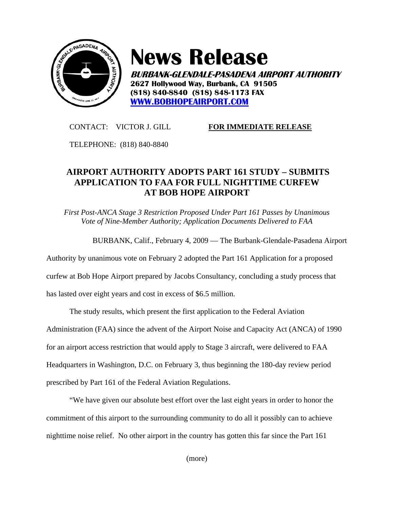

## **News Release**

**BURBANK-GLENDALE-PASADENA AIRPORT AUTHORITY 2627 Hollywood Way, Burbank, CA 91505 (818) 840-8840 (818) 848-1173 FAX WWW.BOBHOPEAIRPORT.COM**

## CONTACT: VICTOR J. GILL **FOR IMMEDIATE RELEASE**

TELEPHONE: (818) 840-8840

## **AIRPORT AUTHORITY ADOPTS PART 161 STUDY – SUBMITS APPLICATION TO FAA FOR FULL NIGHTTIME CURFEW AT BOB HOPE AIRPORT**

*First Post-ANCA Stage 3 Restriction Proposed Under Part 161 Passes by Unanimous Vote of Nine-Member Authority; Application Documents Delivered to FAA* 

BURBANK, Calif., February 4, 2009 — The Burbank-Glendale-Pasadena Airport

Authority by unanimous vote on February 2 adopted the Part 161 Application for a proposed

curfew at Bob Hope Airport prepared by Jacobs Consultancy, concluding a study process that

has lasted over eight years and cost in excess of \$6.5 million.

The study results, which present the first application to the Federal Aviation Administration (FAA) since the advent of the Airport Noise and Capacity Act (ANCA) of 1990 for an airport access restriction that would apply to Stage 3 aircraft, were delivered to FAA Headquarters in Washington, D.C. on February 3, thus beginning the 180-day review period prescribed by Part 161 of the Federal Aviation Regulations.

"We have given our absolute best effort over the last eight years in order to honor the commitment of this airport to the surrounding community to do all it possibly can to achieve nighttime noise relief. No other airport in the country has gotten this far since the Part 161